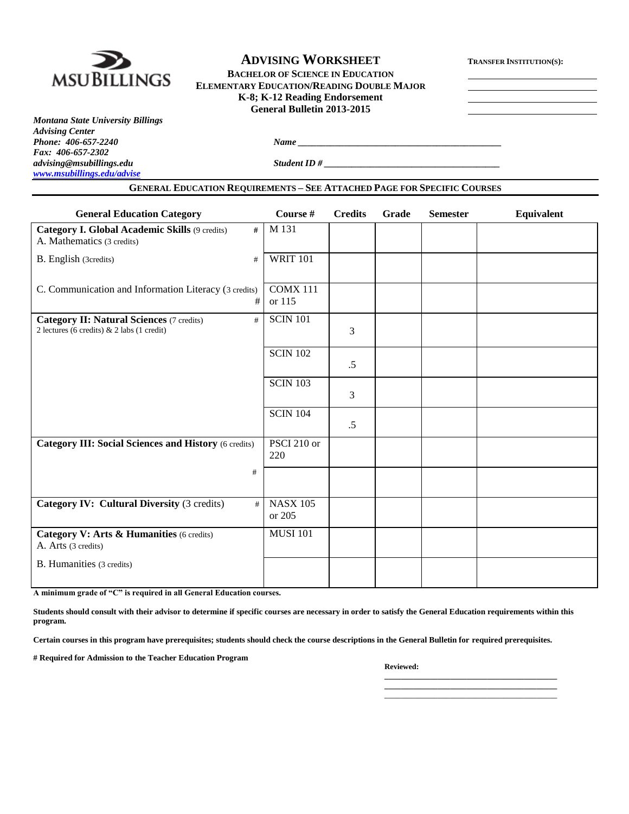

# **ADVISING WORKSHEET <sup>T</sup>RANSFER INSTITUTION(S):**

**BACHELOR OF SCIENCE IN EDUCATION ELEMENTARY EDUCATION/READING DOUBLE MAJOR K-8; K-12 Reading Endorsement General Bulletin 2013-2015**

*Montana State University Billings Advising Center Fax: 406-657-2302 [www.msubillings.edu/advise](http://www.msubillings.edu/advise)*

*Phone 206-657-2240 <i>Name* 206-7-2240 *Name* 206-7-2240 *Name* 206-7-2240 *Name* 206-7-2240 *Name* 206-7-2240 *Name* 206-7-2240 *Name* 206-7-2240 *Name* 206-7-2240 *Name* 206-7-2240 *Name* 206-7-2240

*advising@msubillings.edu Student ID # \_\_\_\_\_\_\_\_\_\_\_\_\_\_\_\_\_\_\_\_\_\_\_\_\_\_\_\_\_\_\_\_\_\_\_\_\_\_*

**GENERAL EDUCATION REQUIREMENTS – SEE ATTACHED PAGE FOR SPECIFIC COURSES**

| <b>General Education Category</b>                                                                     | Course #                  | <b>Credits</b> | Grade | <b>Semester</b> | <b>Equivalent</b> |
|-------------------------------------------------------------------------------------------------------|---------------------------|----------------|-------|-----------------|-------------------|
| <b>Category I. Global Academic Skills (9 credits)</b><br>#<br>A. Mathematics (3 credits)              | M 131                     |                |       |                 |                   |
| B. English (3credits)<br>#                                                                            | <b>WRIT 101</b>           |                |       |                 |                   |
| C. Communication and Information Literacy (3 credits)<br>#                                            | $COMX$ 111<br>or 115      |                |       |                 |                   |
| <b>Category II: Natural Sciences (7 credits)</b><br>#<br>2 lectures (6 credits) $& 2$ labs (1 credit) | <b>SCIN 101</b>           | 3              |       |                 |                   |
|                                                                                                       | <b>SCIN 102</b>           | .5             |       |                 |                   |
|                                                                                                       | <b>SCIN 103</b>           | 3              |       |                 |                   |
|                                                                                                       | <b>SCIN 104</b>           | .5             |       |                 |                   |
| Category III: Social Sciences and History (6 credits)                                                 | PSCI 210 or<br>220        |                |       |                 |                   |
| #                                                                                                     |                           |                |       |                 |                   |
| <b>Category IV: Cultural Diversity (3 credits)</b><br>#                                               | <b>NASX 105</b><br>or 205 |                |       |                 |                   |
| Category V: Arts & Humanities (6 credits)<br>A. Arts (3 credits)                                      | <b>MUSI 101</b>           |                |       |                 |                   |
| B. Humanities (3 credits)                                                                             |                           |                |       |                 |                   |

**A minimum grade of "C" is required in all General Education courses.** 

**Students should consult with their advisor to determine if specific courses are necessary in order to satisfy the General Education requirements within this program.**

**Certain courses in this program have prerequisites; students should check the course descriptions in the General Bulletin for required prerequisites.**

**# Required for Admission to the Teacher Education Program**

#### **Reviewed:**

**\_\_\_\_\_\_\_\_\_\_\_\_\_\_\_\_\_\_\_\_\_\_\_\_\_\_\_\_\_\_\_\_\_\_\_\_\_\_\_\_\_\_ \_\_\_\_\_\_\_\_\_\_\_\_\_\_\_\_\_\_\_\_\_\_\_\_\_\_\_\_\_\_\_\_\_\_\_\_\_\_\_\_\_\_** \_\_\_\_\_\_\_\_\_\_\_\_\_\_\_\_\_\_\_\_\_\_\_\_\_\_\_\_\_\_\_\_\_\_\_\_\_\_\_\_\_\_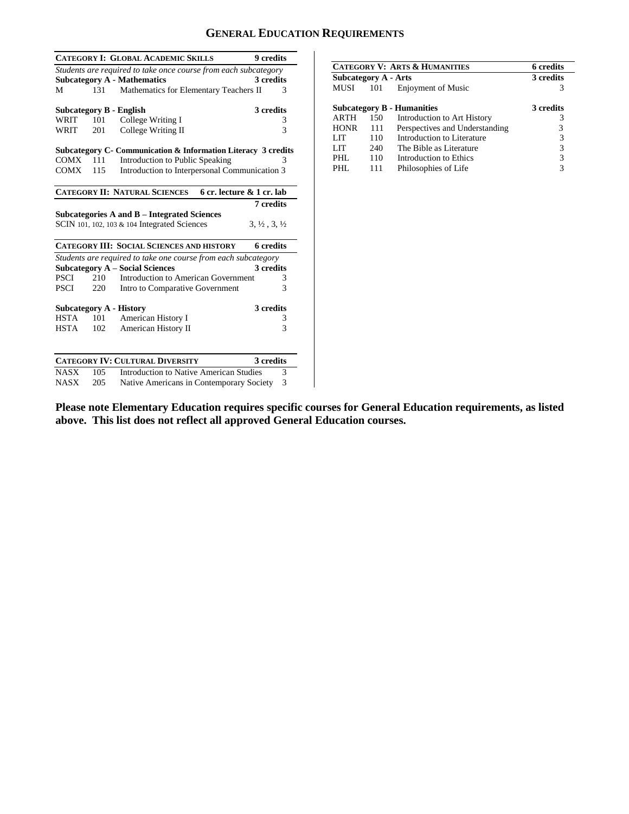# **GENERAL EDUCATION REQUIREMENTS**

|             |     | <b>CATEGORY I: GLOBAL ACADEMIC SKILLS</b>                       | 9 credits                        |
|-------------|-----|-----------------------------------------------------------------|----------------------------------|
|             |     | Students are required to take once course from each subcategory |                                  |
|             |     | <b>Subcategory A - Mathematics</b>                              | 3 credits                        |
| М           | 131 | Mathematics for Elementary Teachers II                          | 3                                |
|             |     | Subcategory B - English                                         | 3 credits                        |
| WRIT        | 101 | College Writing I                                               | 3                                |
| WRIT        | 201 | College Writing II                                              | 3                                |
|             |     |                                                                 |                                  |
|             |     | Subcategory C- Communication & Information Literacy 3 credits   |                                  |
| COMX        | 111 | Introduction to Public Speaking                                 | 3                                |
| COMX        | 115 | Introduction to Interpersonal Communication 3                   |                                  |
|             |     | <b>CATEGORY II: NATURAL SCIENCES</b>                            | 6 cr. lecture & 1 cr. lab        |
|             |     |                                                                 | 7 credits                        |
|             |     | Subcategories A and B – Integrated Sciences                     |                                  |
|             |     | SCIN 101, 102, 103 & 104 Integrated Sciences                    | $3, \frac{1}{2}, 3, \frac{1}{2}$ |
|             |     | <b>CATEGORY III: SOCIAL SCIENCES AND HISTORY</b>                | 6 credits                        |
|             |     | Students are required to take one course from each subcategory  |                                  |
|             |     | <b>Subcategory A – Social Sciences</b>                          | 3 credits                        |
| PSCI        | 210 | Introduction to American Government                             | 3                                |
| <b>PSCI</b> | 220 | Intro to Comparative Government                                 | 3                                |
|             |     | <b>Subcategory A - History</b>                                  | 3 credits                        |
| <b>HSTA</b> | 101 | American History I                                              | 3                                |
| <b>HSTA</b> | 102 | American History II                                             | 3                                |
|             |     |                                                                 |                                  |
|             |     | <b>CATEGORY IV: CULTURAL DIVERSITY</b>                          | 3 credits                        |
| <b>NASX</b> | 105 | Introduction to Native American Studies                         | 3                                |
| <b>NASX</b> | 205 | Native Americans in Contemporary Society                        | 3                                |

| <b>CATEGORY V: ARTS &amp; HUMANITIES</b> |     |                                   | 6 credits |
|------------------------------------------|-----|-----------------------------------|-----------|
| Subcategory A - Arts                     |     |                                   | 3 credits |
| <b>MUSI</b>                              | 101 | <b>Enjoyment of Music</b>         | 3         |
|                                          |     | <b>Subcategory B - Humanities</b> | 3 credits |
| <b>ARTH</b>                              | 150 | Introduction to Art History       | 3         |
| <b>HONR</b>                              | 111 | Perspectives and Understanding    | 3         |
| LIT                                      | 110 | Introduction to Literature        | 3         |
| LIT                                      | 240 | The Bible as Literature           | 3         |
| PHL                                      | 110 | Introduction to Ethics            | 3         |
| PHL                                      | 111 | Philosophies of Life              | 3         |

**Please note Elementary Education requires specific courses for General Education requirements, as listed above. This list does not reflect all approved General Education courses.**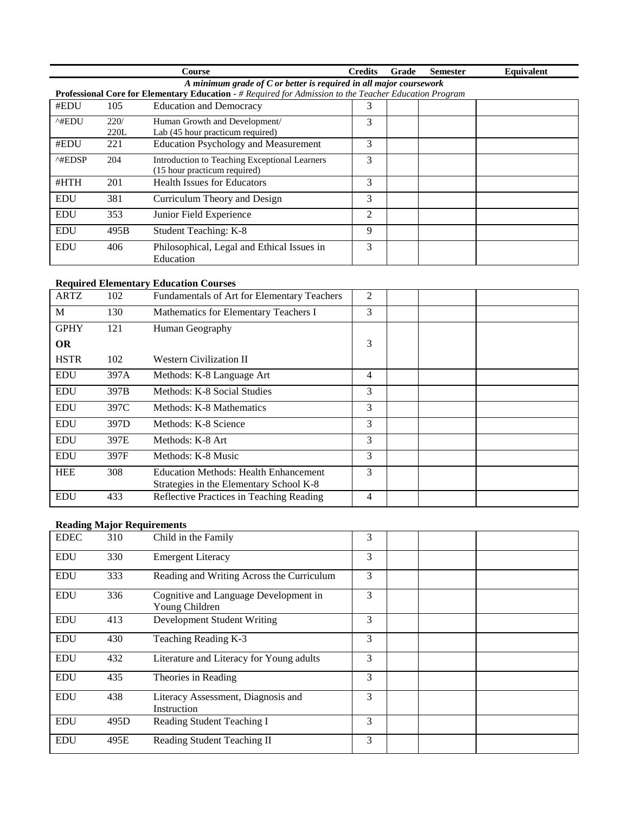|                         |                                                                      | <b>Course</b>                                                                                          | <b>Credits</b> | Grade | <b>Semester</b> | <b>Equivalent</b> |  |  |  |
|-------------------------|----------------------------------------------------------------------|--------------------------------------------------------------------------------------------------------|----------------|-------|-----------------|-------------------|--|--|--|
|                         | A minimum grade of $C$ or better is required in all major coursework |                                                                                                        |                |       |                 |                   |  |  |  |
|                         |                                                                      | Professional Core for Elementary Education - # Required for Admission to the Teacher Education Program |                |       |                 |                   |  |  |  |
| #EDU                    | 105                                                                  | <b>Education and Democracy</b>                                                                         | 3              |       |                 |                   |  |  |  |
| ^#EDU                   | 220/                                                                 | Human Growth and Development/                                                                          | 3              |       |                 |                   |  |  |  |
|                         | 220L                                                                 | Lab (45 hour practicum required)                                                                       |                |       |                 |                   |  |  |  |
| #EDU                    | 221                                                                  | <b>Education Psychology and Measurement</b>                                                            | 3              |       |                 |                   |  |  |  |
| $^{\wedge\text{HEDSP}}$ | 204                                                                  | Introduction to Teaching Exceptional Learners                                                          | 3              |       |                 |                   |  |  |  |
|                         |                                                                      | (15 hour practicum required)                                                                           |                |       |                 |                   |  |  |  |
| #HTH                    | 201                                                                  | <b>Health Issues for Educators</b>                                                                     | 3              |       |                 |                   |  |  |  |
| <b>EDU</b>              | 381                                                                  | Curriculum Theory and Design                                                                           | 3              |       |                 |                   |  |  |  |
| <b>EDU</b>              | 353                                                                  | Junior Field Experience                                                                                | $\mathfrak{D}$ |       |                 |                   |  |  |  |
| <b>EDU</b>              | 495B                                                                 | Student Teaching: K-8                                                                                  | 9              |       |                 |                   |  |  |  |
| <b>EDU</b>              | 406                                                                  | Philosophical, Legal and Ethical Issues in                                                             | 3              |       |                 |                   |  |  |  |
|                         |                                                                      | Education                                                                                              |                |       |                 |                   |  |  |  |

### **Required Elementary Education Courses**

| <b>ARTZ</b> | 102  | Fundamentals of Art for Elementary Teachers  | 2 |  |  |
|-------------|------|----------------------------------------------|---|--|--|
| M           | 130  | Mathematics for Elementary Teachers I        | 3 |  |  |
| <b>GPHY</b> | 121  | Human Geography                              |   |  |  |
| <b>OR</b>   |      |                                              | 3 |  |  |
| <b>HSTR</b> | 102  | <b>Western Civilization II</b>               |   |  |  |
| <b>EDU</b>  | 397A | Methods: K-8 Language Art                    | 4 |  |  |
| <b>EDU</b>  | 397B | Methods: K-8 Social Studies                  | 3 |  |  |
| <b>EDU</b>  | 397C | Methods: K-8 Mathematics                     | 3 |  |  |
| <b>EDU</b>  | 397D | Methods: K-8 Science                         | 3 |  |  |
| <b>EDU</b>  | 397E | Methods: K-8 Art                             | 3 |  |  |
| <b>EDU</b>  | 397F | Methods: K-8 Music                           | 3 |  |  |
| <b>HEE</b>  | 308  | <b>Education Methods: Health Enhancement</b> | 3 |  |  |
|             |      | Strategies in the Elementary School K-8      |   |  |  |
| <b>EDU</b>  | 433  | Reflective Practices in Teaching Reading     | 4 |  |  |

## **Reading Major Requirements**

| <b>EDEC</b> | 310  | Child in the Family                                     | 3 |  |  |
|-------------|------|---------------------------------------------------------|---|--|--|
| <b>EDU</b>  | 330  | <b>Emergent Literacy</b>                                | 3 |  |  |
| <b>EDU</b>  | 333  | Reading and Writing Across the Curriculum               | 3 |  |  |
| <b>EDU</b>  | 336  | Cognitive and Language Development in<br>Young Children | 3 |  |  |
| <b>EDU</b>  | 413  | Development Student Writing                             | 3 |  |  |
| <b>EDU</b>  | 430  | Teaching Reading K-3                                    | 3 |  |  |
| <b>EDU</b>  | 432  | Literature and Literacy for Young adults                | 3 |  |  |
| <b>EDU</b>  | 435  | Theories in Reading                                     | 3 |  |  |
| <b>EDU</b>  | 438  | Literacy Assessment, Diagnosis and<br>Instruction       | 3 |  |  |
| <b>EDU</b>  | 495D | Reading Student Teaching I                              | 3 |  |  |
| <b>EDU</b>  | 495E | Reading Student Teaching II                             | 3 |  |  |